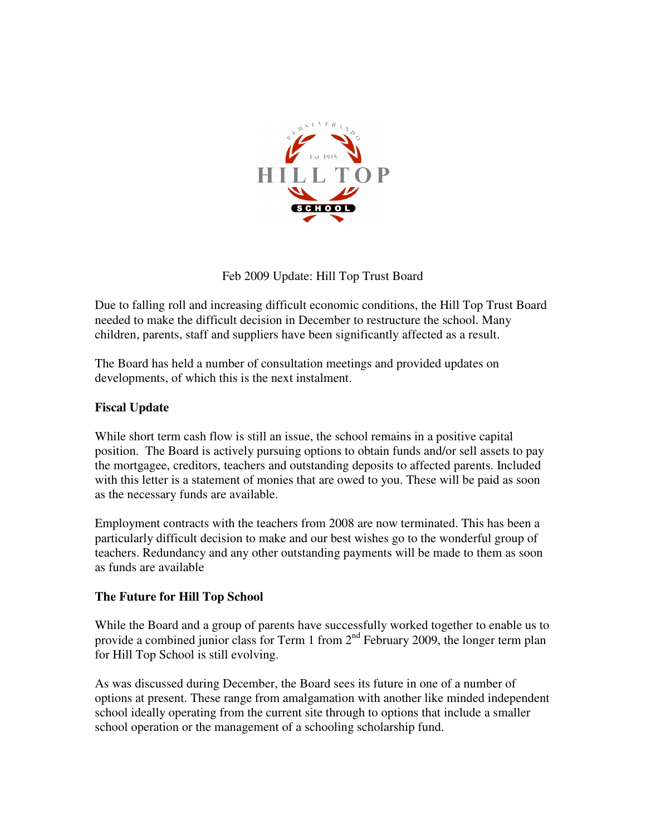

Feb 2009 Update: Hill Top Trust Board

Due to falling roll and increasing difficult economic conditions, the Hill Top Trust Board needed to make the difficult decision in December to restructure the school. Many children, parents, staff and suppliers have been significantly affected as a result.

The Board has held a number of consultation meetings and provided updates on developments, of which this is the next instalment.

# **Fiscal Update**

While short term cash flow is still an issue, the school remains in a positive capital position. The Board is actively pursuing options to obtain funds and/or sell assets to pay the mortgagee, creditors, teachers and outstanding deposits to affected parents. Included with this letter is a statement of monies that are owed to you. These will be paid as soon as the necessary funds are available.

Employment contracts with the teachers from 2008 are now terminated. This has been a particularly difficult decision to make and our best wishes go to the wonderful group of teachers. Redundancy and any other outstanding payments will be made to them as soon as funds are available

## **The Future for Hill Top School**

While the Board and a group of parents have successfully worked together to enable us to provide a combined junior class for Term 1 from  $2<sup>nd</sup>$  February 2009, the longer term plan for Hill Top School is still evolving.

As was discussed during December, the Board sees its future in one of a number of options at present. These range from amalgamation with another like minded independent school ideally operating from the current site through to options that include a smaller school operation or the management of a schooling scholarship fund.